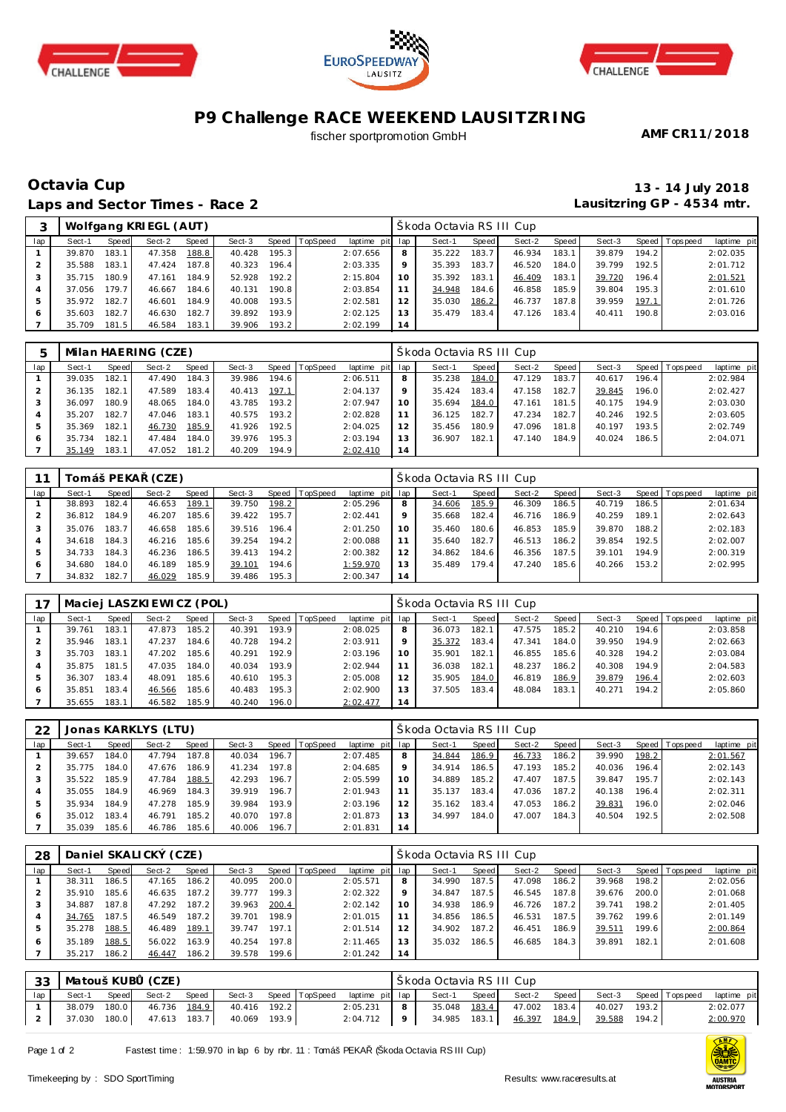





# **P9 Challenge RACE WEEKEND LAUSITZRING**

### fischer sportpromotion GmbH

**AMF CR11/2018**

# **Octavia Cup 13 - 14 July 2018 Laps and Sector Times - Race 2**

**Lausitzring GP - 4534 mtr.**

|     |        |       | Wolfgang KRI EGL (AUT) |       |        |       |                |                 |    | Škoda Octavia RSIII Cup |       |        |       |        |       |                 |             |
|-----|--------|-------|------------------------|-------|--------|-------|----------------|-----------------|----|-------------------------|-------|--------|-------|--------|-------|-----------------|-------------|
| lap | Sect-1 | Speed | Sect-2                 | Speed | Sect-3 |       | Speed TopSpeed | laptime pit lap |    | Sect-1                  | Speed | Sect-2 | Speed | Sect-3 |       | Speed Tops peed | laptime pit |
|     | 39.870 | 183.1 | 47.358                 | 188.8 | 40.428 | 195.3 |                | 2:07.656        | 8  | 35.222                  | 183.7 | 46.934 | 183.1 | 39.879 | 194.2 |                 | 2:02.035    |
|     | 35.588 | 183.1 | 47.424                 | 187.8 | 40.323 | 196.4 |                | 2:03.335        | 9  | 35.393                  | 183.7 | 46.520 | 184.0 | 39.799 | 192.5 |                 | 2:01.712    |
|     | 35.715 | 180.9 | 47.161                 | 184.9 | 52.928 | 192.2 |                | 2:15.804        | 10 | 35.392                  | 183.1 | 46.409 | 183.1 | 39.720 | 196.4 |                 | 2:01.521    |
|     | 37.056 | 179.7 | 46.667                 | 184.6 | 40.131 | 190.8 |                | 2:03.854        | 11 | 34.948                  | 184.6 | 46.858 | 185.9 | 39.804 | 195.3 |                 | 2:01.610    |
|     | 35.972 | 182.7 | 46.601                 | 184.9 | 40.008 | 193.5 |                | 2:02.581        | 12 | 35.030                  | 186.2 | 46.737 | 187.8 | 39.959 | 197.1 |                 | 2:01.726    |
| 6   | 35.603 | 182.7 | 46.630                 | 182.7 | 39.892 | 193.9 |                | 2:02.125        | 13 | 35.479                  | 183.4 | 47.126 | 183.4 | 40.411 | 190.8 |                 | 2:03.016    |
|     | 35.709 | 181.5 | 46.584                 | 183.1 | 39.906 | 193.2 |                | 2:02.199        | 14 |                         |       |        |       |        |       |                 |             |

| π   |        |       | Milan HAERING (CZE) |       |        |       |                |             |     | Škoda Octavia RSIII Cup |       |        |       |        |       |                 |             |
|-----|--------|-------|---------------------|-------|--------|-------|----------------|-------------|-----|-------------------------|-------|--------|-------|--------|-------|-----------------|-------------|
| lap | Sect-1 | Speed | Sect-2              | Speed | Sect-3 |       | Speed TopSpeed | laptime pit | lap | Sect-1                  | Speed | Sect-2 | Speed | Sect-3 |       | Speed Tops peed | laptime pit |
|     | 39.035 | 182.1 | 47.490              | 184.3 | 39.986 | 194.6 |                | 2:06.511    | 8   | 35.238                  | 184.0 | 47.129 | 183.7 | 40.617 | 196.4 |                 | 2:02.984    |
|     | 36.135 | 182.1 | 47.589              | 183.4 | 40.413 | 197.1 |                | 2:04.137    | 9   | 35.424                  | 183.4 | 47.158 | 182.7 | 39.845 | 196.0 |                 | 2:02.427    |
|     | 36.097 | 180.9 | 48.065              | 184.0 | 43.785 | 193.2 |                | 2:07.947    | 10  | 35.694                  | 184.0 | 47.161 | 181.5 | 40.175 | 194.9 |                 | 2:03.030    |
|     | 35.207 | 182.7 | 47.046              | 183.1 | 40.575 | 193.2 |                | 2:02.828    | 11  | 36.125                  | 182.7 | 47.234 | 182.7 | 40.246 | 192.5 |                 | 2:03.605    |
| 5   | 35.369 | 182.1 | 46.730              | 185.9 | 41.926 | 192.5 |                | 2:04.025    | 12  | 35.456                  | 180.9 | 47.096 | 181.8 | 40.197 | 193.5 |                 | 2:02.749    |
| 6   | 35.734 | 182.1 | 47.484              | 184.0 | 39.976 | 195.3 |                | 2:03.194    | 13  | 36.907                  | 182.1 | 47.140 | 184.9 | 40.024 | 186.5 |                 | 2:04.071    |
|     | 35.149 | 183.1 | 47.052              | 181.2 | 40.209 | 194.9 |                | 2:02.410    | 14  |                         |       |        |       |        |       |                 |             |

|     |        | Tomáš PEKA | (CZE)  |       |        |       |                  |             |     | Škoda Octavia RS III Cup |       |        |       |        |       |            |             |
|-----|--------|------------|--------|-------|--------|-------|------------------|-------------|-----|--------------------------|-------|--------|-------|--------|-------|------------|-------------|
| lap | Sect-1 | Speed      | Sect-2 | Speed | Sect-3 |       | Speed   TopSpeed | laptime pit | lap | Sect-1                   | Speed | Sect-2 | Speed | Sect-3 | Speed | T ops peed | laptime pit |
|     | 38.893 | 182.4      | 46.653 | 189.1 | 39.750 | 198.2 |                  | 2:05.296    | 8   | 34.606                   | 185.9 | 46.309 | 186.5 | 40.719 | 186.5 |            | 2:01.634    |
|     | 36.812 | 184.9      | 46.207 | 185.6 | 39.422 | 195.7 |                  | 2:02.441    | 9   | 35.668                   | 182.4 | 46.716 | 186.9 | 40.259 | 189.1 |            | 2:02.643    |
|     | 35.076 | 183.7      | 46.658 | 185.6 | 39.516 | 196.4 |                  | 2:01.250    | 10  | 35.460                   | 180.6 | 46.853 | 185.9 | 39.870 | 188.2 |            | 2:02.183    |
|     | 34.618 | 184.3      | 46.216 | 185.6 | 39.254 | 194.2 |                  | 2:00.088    | 11  | 35.640                   | 182.7 | 46.513 | 186.2 | 39.854 | 192.5 |            | 2:02.007    |
| 5   | 34.733 | 184.3      | 46.236 | 186.5 | 39.413 | 194.2 |                  | 2:00.382    | 12  | 34.862                   | 184.6 | 46.356 | 187.5 | 39.101 | 194.9 |            | 2:00.319    |
| 6   | 34.680 | 184.0      | 46.189 | 185.9 | 39.101 | 194.6 |                  | 1:59.970    | 13  | 35.489                   | 179.4 | 47.240 | 185.6 | 40.266 | 153.2 |            | 2:02.995    |
|     | 34.832 | 182.7      | 46.029 | 185.9 | 39.486 | 195.3 |                  | 2:00.347    | 14  |                          |       |        |       |        |       |            |             |

|     |        |       | Maciej LASZKI EWICZ (POL) |       |        |       |                |                 |         | Škoda Octavia RS III Cup |       |        |       |        |       |                |             |
|-----|--------|-------|---------------------------|-------|--------|-------|----------------|-----------------|---------|--------------------------|-------|--------|-------|--------|-------|----------------|-------------|
| lap | Sect-1 | Speed | Sect-2                    | Speed | Sect-3 |       | Speed TopSpeed | laptime pit lap |         | Sect-1                   | Speed | Sect-2 | Speed | Sect-3 |       | Speed Topspeed | laptime pit |
|     | 39.761 | 183.1 | 47.873                    | 185.2 | 40.391 | 193.9 |                | 2:08.025        | 8       | 36.073                   | 182.1 | 47.575 | 185.2 | 40.210 | 194.6 |                | 2:03.858    |
|     | 35.946 | 183.1 | 47.237                    | 184.6 | 40.728 | 194.2 |                | 2:03.911        | $\circ$ | 35.372                   | 183.4 | 47.341 | 184.0 | 39.950 | 194.9 |                | 2:02.663    |
|     | 35.703 | 183.1 | 47.202                    | 185.6 | 40.291 | 192.9 |                | 2:03.196        | 10      | 35.901                   | 182.1 | 46.855 | 185.6 | 40.328 | 194.2 |                | 2:03.084    |
| 4   | 35.875 | 181.5 | 47.035                    | 184.0 | 40.034 | 193.9 |                | 2:02.944        | 11      | 36.038                   | 182.1 | 48.237 | 186.2 | 40.308 | 194.9 |                | 2:04.583    |
| 5   | 36.307 | 183.4 | 48.091                    | 185.6 | 40.610 | 195.3 |                | 2:05.008        | 12      | 35.905                   | 184.0 | 46.819 | 186.9 | 39.879 | 196.4 |                | 2:02.603    |
| 6   | 35.851 | 183.4 | 46.566                    | 185.6 | 40.483 | 195.3 |                | 2:02.900        | 13      | 37.505                   | 183.4 | 48.084 | 183.1 | 40.271 | 194.2 |                | 2:05.860    |
|     | 35.655 | 183.1 | 46.582                    | 185.9 | 40.240 | 196.0 |                | 2:02.477        | 14      |                          |       |        |       |        |       |                |             |

| 22  |        |       | Jonas KARKLYS (LTU) |       |        |          |          |                 |    | Škoda Octavia RS III Cup |       |        |       |        |       |                |             |
|-----|--------|-------|---------------------|-------|--------|----------|----------|-----------------|----|--------------------------|-------|--------|-------|--------|-------|----------------|-------------|
| lap | Sect-1 | Speed | Sect-2              | Speed | Sect-3 | Speed li | TopSpeed | laptime pit lap |    | Sect-1                   | Speed | Sect-2 | Speed | Sect-3 |       | Speed Topspeed | laptime pit |
|     | 39.657 | 184.0 | 47.794              | 187.8 | 40.034 | 196.7    |          | 2:07.485        | 8  | 34.844                   | 186.9 | 46.733 | 186.2 | 39.990 | 198.2 |                | 2:01.567    |
|     | 35.775 | 184.0 | 47.676              | 186.9 | 41.234 | 197.8    |          | 2:04.685        |    | 34.914                   | 186.5 | 47.193 | 185.2 | 40.036 | 196.4 |                | 2:02.143    |
|     | 35.522 | 185.9 | 47.784              | 188.5 | 42.293 | 196.7    |          | 2:05.599        | 10 | 34.889                   | 185.2 | 47.407 | 187.5 | 39.847 | 195.7 |                | 2:02.143    |
|     | 35.055 | 184.9 | 46.969              | 184.3 | 39.919 | 196.7    |          | 2:01.943        |    | 35.137                   | 183.4 | 47.036 | 187.2 | 40.138 | 196.4 |                | 2:02.311    |
| .5  | 35.934 | 184.9 | 47.278              | 185.9 | 39.984 | 193.9    |          | 2:03.196        |    | 35.162                   | 183.4 | 47.053 | 186.2 | 39.831 | 196.0 |                | 2:02.046    |
| 6   | 35.012 | 183.4 | 46.791              | 185.2 | 40.070 | 197.8    |          | 2:01.873        |    | 34.997                   | 184.0 | 47.007 | 184.3 | 40.504 | 192.5 |                | 2:02.508    |
|     | 35.039 | 185.6 | 46.786              | 185.6 | 40.006 | 196.7    |          | 2:01.831        | 14 |                          |       |        |       |        |       |                |             |

| 28  |        |       | Daniel SKALICKÝ (CZE) |       |        |       |                |                 |    | Škoda Octavia RS III Cup |       |        |       |        |       |                |             |
|-----|--------|-------|-----------------------|-------|--------|-------|----------------|-----------------|----|--------------------------|-------|--------|-------|--------|-------|----------------|-------------|
| lap | Sect-1 | Speed | Sect-2                | Speed | Sect-3 |       | Speed TopSpeed | laptime pit lap |    | Sect-1                   | Speed | Sect-2 | Speed | Sect-3 |       | Speed Topspeed | laptime pit |
|     | 38.311 | 186.5 | 47.165                | 186.2 | 40.095 | 200.0 |                | 2:05.571        | 8  | 34.990                   | 187.5 | 47.098 | 186.2 | 39.968 | 198.2 |                | 2:02.056    |
|     | 35.910 | 185.6 | 46.635                | 187.2 | 39.777 | 199.3 |                | 2:02.322        | Q  | 34.847                   | 187.5 | 46.545 | 187.8 | 39.676 | 200.0 |                | 2:01.068    |
|     | 34.887 | 187.8 | 47.292                | 187.2 | 39.963 | 200.4 |                | 2:02.142        | 10 | 34.938                   | 186.9 | 46.726 | 187.2 | 39.741 | 198.2 |                | 2:01.405    |
|     | 34.765 | 187.5 | 46.549                | 187.2 | 39.701 | 198.9 |                | 2:01.015        | 11 | 34.856                   | 186.5 | 46.531 | 187.5 | 39.762 | 199.6 |                | 2:01.149    |
| 5   | 35.278 | 188.5 | 46.489                | 189.1 | 39.747 | 197.1 |                | 2:01.514        | 12 | 34.902                   | 187.2 | 46.451 | 186.9 | 39.511 | 199.6 |                | 2:00.864    |
| 6   | 35.189 | 188.5 | 56.022                | 163.9 | 40.254 | 197.8 |                | 2:11.465        | 13 | 35.032                   | 186.5 | 46.685 | 184.3 | 39.891 | 182.1 |                | 2:01.608    |
|     | 35.217 | 186.2 | 46.447                | 186.2 | 39.578 | 199.6 |                | 2:01.242        | 14 |                          |       |        |       |        |       |                |             |

|     | 33   Matouš KUB (CZE)     |       |                              |              |  |                                       |   | Škoda Octavia RS III Cup |       |                                      |              |       |                       |             |
|-----|---------------------------|-------|------------------------------|--------------|--|---------------------------------------|---|--------------------------|-------|--------------------------------------|--------------|-------|-----------------------|-------------|
| lap | Sect-1                    | Speed | Sect-2 Speed                 |              |  | Sect-3 Speed TopSpeed laptime pit lap |   | Sect-1                   | Speed | Sect-2 Speed                         |              |       | Sect-3 Speed Topspeed | laptime pit |
|     |                           |       | 38.079  180.0  46.736  184.9 | 40.416 192.2 |  | 2:05.231                              | 8 |                          |       | 35.048  183.4  47.002  183.4         | 40.027 193.2 |       |                       | 2:02.077    |
|     | 37.030 180.0 47.613 183.7 |       |                              | 40.069 193.9 |  | $2:04.712$ 9                          |   |                          |       | 34.985  183.1  46.397  184.9  39.588 |              | 194.2 |                       | 2:00.970    |

Page 1 of 2 Fastest time : 1:59.970 in lap 6 by nbr. 11 : Tomáš PEKA (Škoda Octavia RS III Cup)